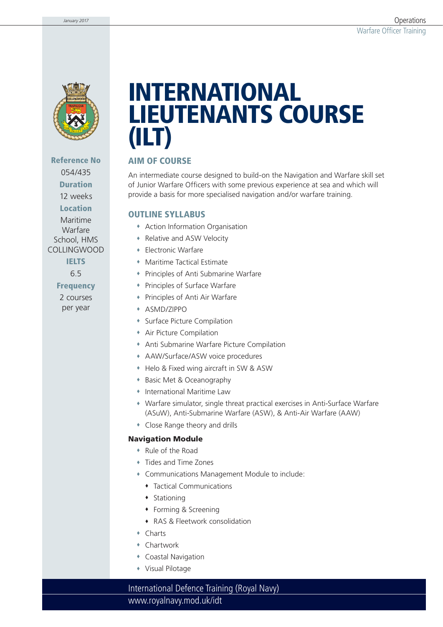

**Reference No** 054/435 **Duration** 12 weeks **Location** Maritime Warfare School, HMS COLLINGWOOD **IELTS** 6.5 **Frequency** 2 courses per year

# **INTERNATIONAL LIEUTENANTS COURSE (ILT)**

### **AIM OF COURSE**

An intermediate course designed to build-on the Navigation and Warfare skill set of Junior Warfare Officers with some previous experience at sea and which will provide a basis for more specialised navigation and/or warfare training.

#### **OUTLINE SYLLABUS**

- Action Information Organisation
- Relative and ASW Velocity
- Electronic Warfare
- Maritime Tactical Estimate
- Principles of Anti Submarine Warfare
- Principles of Surface Warfare
- Principles of Anti Air Warfare
- ASMD/ZIPPO
- Surface Picture Compilation
- Air Picture Compilation
- Anti Submarine Warfare Picture Compilation
- AAW/Surface/ASW voice procedures
- Helo & Fixed wing aircraft in SW & ASW
- Basic Met & Oceanography
- International Maritime Law
- Warfare simulator, single threat practical exercises in Anti-Surface Warfare (ASuW), Anti-Submarine Warfare (ASW), & Anti-Air Warfare (AAW)
- Close Range theory and drills

#### **Navigation Module**

- Rule of the Road
- Tides and Time Zones
- Communications Management Module to include:
	- Tactical Communications
	- $\bullet$  Stationing
	- Forming & Screening
	- RAS & Fleetwork consolidation
- Charts
- Chartwork
- Coastal Navigation
- Visual Pilotage

www.royalnavy.mod.uk/idt International Defence Training (Royal Navy)